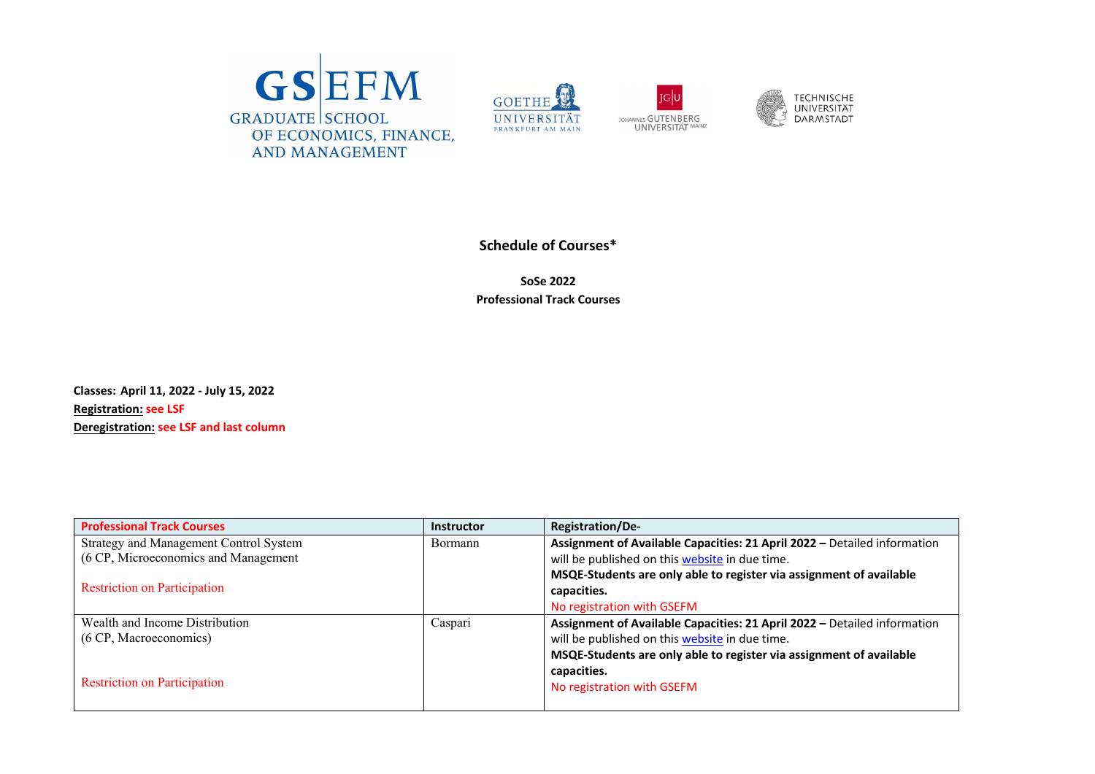







## **Schedule of Courses\***

**SoSe 2022 Professional Track Courses**

**Classes: April 11, 2022 ‐ July 15, 2022 Registration: see LSF Deregistration: see LSF and last column**

| <b>Professional Track Courses</b>      | <b>Instructor</b> | <b>Registration/De-</b>                                                  |
|----------------------------------------|-------------------|--------------------------------------------------------------------------|
| Strategy and Management Control System | <b>Bormann</b>    | Assignment of Available Capacities: 21 April 2022 - Detailed information |
| (6 CP, Microeconomics and Management   |                   | will be published on this <b>website</b> in due time.                    |
|                                        |                   | MSQE-Students are only able to register via assignment of available      |
| <b>Restriction on Participation</b>    |                   | capacities.                                                              |
|                                        |                   | No registration with GSEFM                                               |
| Wealth and Income Distribution         | Caspari           | Assignment of Available Capacities: 21 April 2022 - Detailed information |
| (6 CP, Macroeconomics)                 |                   | will be published on this website in due time.                           |
|                                        |                   | MSQE-Students are only able to register via assignment of available      |
|                                        |                   | capacities.                                                              |
| <b>Restriction on Participation</b>    |                   | No registration with GSEFM                                               |
|                                        |                   |                                                                          |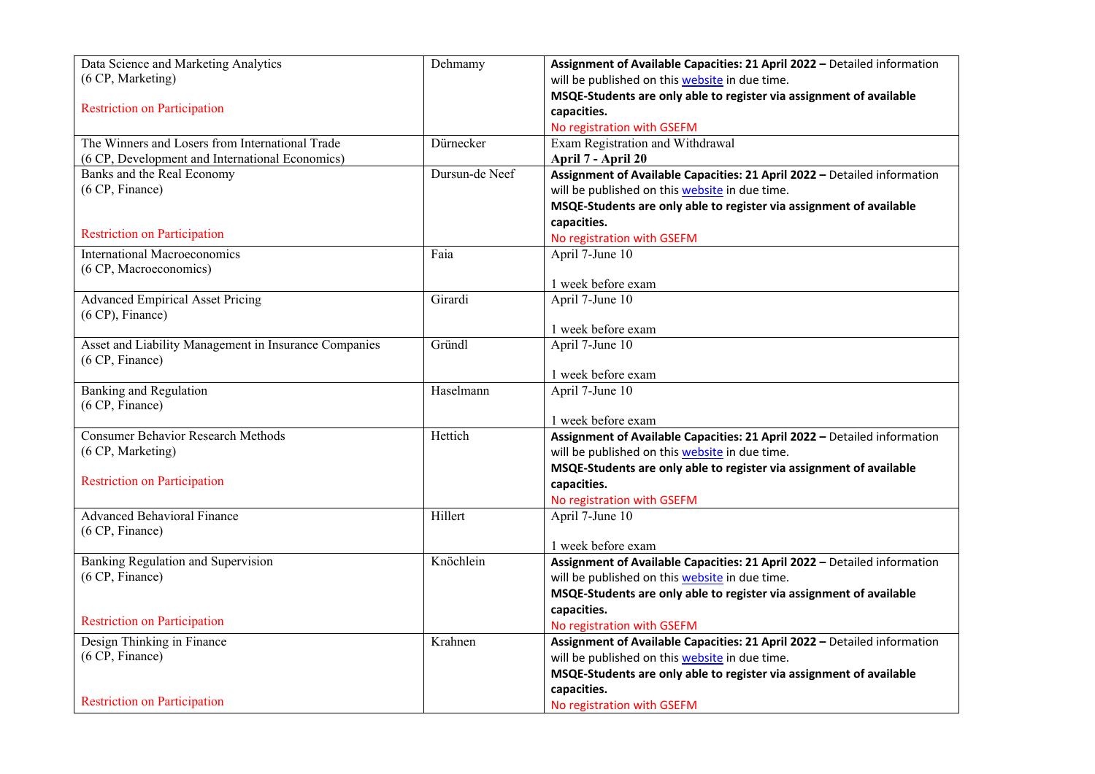| Data Science and Marketing Analytics                  | Dehmamy        | Assignment of Available Capacities: 21 April 2022 - Detailed information |
|-------------------------------------------------------|----------------|--------------------------------------------------------------------------|
| (6 CP, Marketing)                                     |                | will be published on this website in due time.                           |
|                                                       |                | MSQE-Students are only able to register via assignment of available      |
| <b>Restriction on Participation</b>                   |                | capacities.                                                              |
|                                                       |                | No registration with GSEFM                                               |
| The Winners and Losers from International Trade       | Dürnecker      | Exam Registration and Withdrawal                                         |
| (6 CP, Development and International Economics)       |                | April 7 - April 20                                                       |
| Banks and the Real Economy                            | Dursun-de Neef | Assignment of Available Capacities: 21 April 2022 - Detailed information |
| (6 CP, Finance)                                       |                | will be published on this website in due time.                           |
|                                                       |                | MSQE-Students are only able to register via assignment of available      |
|                                                       |                | capacities.                                                              |
| <b>Restriction on Participation</b>                   |                | No registration with GSEFM                                               |
| <b>International Macroeconomics</b>                   | Faia           | April 7-June 10                                                          |
| (6 CP, Macroeconomics)                                |                |                                                                          |
|                                                       |                | 1 week before exam                                                       |
| <b>Advanced Empirical Asset Pricing</b>               | Girardi        | April 7-June 10                                                          |
| $(6 CP)$ , Finance)                                   |                |                                                                          |
|                                                       |                | 1 week before exam                                                       |
| Asset and Liability Management in Insurance Companies | Gründl         | April 7-June 10                                                          |
| (6 CP, Finance)                                       |                |                                                                          |
|                                                       |                | 1 week before exam                                                       |
| <b>Banking and Regulation</b>                         | Haselmann      | April 7-June 10                                                          |
|                                                       |                |                                                                          |
| (6 CP, Finance)                                       |                |                                                                          |
|                                                       |                | 1 week before exam                                                       |
| <b>Consumer Behavior Research Methods</b>             | Hettich        | Assignment of Available Capacities: 21 April 2022 - Detailed information |
| (6 CP, Marketing)                                     |                | will be published on this website in due time.                           |
|                                                       |                | MSQE-Students are only able to register via assignment of available      |
| <b>Restriction on Participation</b>                   |                | capacities.                                                              |
|                                                       |                | No registration with GSEFM                                               |
| <b>Advanced Behavioral Finance</b>                    | Hillert        | April 7-June 10                                                          |
| (6 CP, Finance)                                       |                |                                                                          |
|                                                       |                | 1 week before exam                                                       |
| Banking Regulation and Supervision                    | Knöchlein      | Assignment of Available Capacities: 21 April 2022 - Detailed information |
| (6 CP, Finance)                                       |                | will be published on this website in due time.                           |
|                                                       |                | MSQE-Students are only able to register via assignment of available      |
|                                                       |                | capacities.                                                              |
| <b>Restriction on Participation</b>                   |                | No registration with GSEFM                                               |
| Design Thinking in Finance                            | Krahnen        | Assignment of Available Capacities: 21 April 2022 - Detailed information |
| (6 CP, Finance)                                       |                | will be published on this website in due time.                           |
|                                                       |                | MSQE-Students are only able to register via assignment of available      |
| <b>Restriction on Participation</b>                   |                | capacities.<br>No registration with GSEFM                                |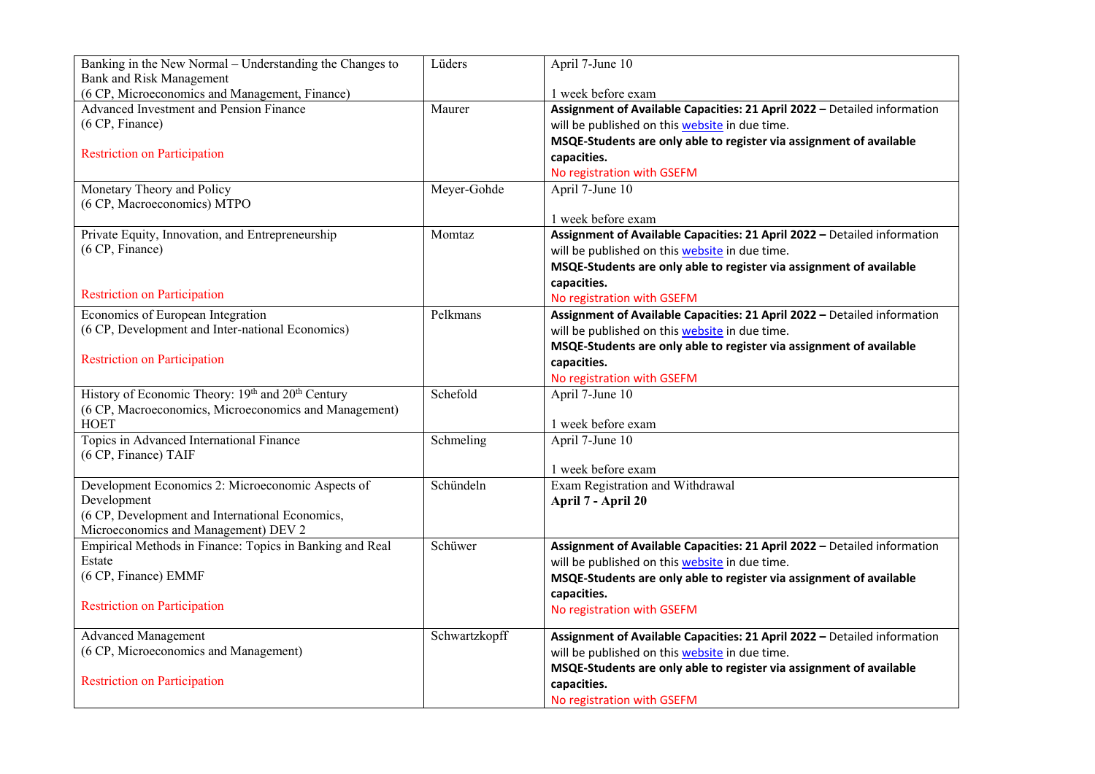| Banking in the New Normal $-\overline{Understanding}$ the Changes to | Lüders        | April 7-June 10                                                          |
|----------------------------------------------------------------------|---------------|--------------------------------------------------------------------------|
| Bank and Risk Management                                             |               |                                                                          |
| (6 CP, Microeconomics and Management, Finance)                       |               | 1 week before exam                                                       |
| Advanced Investment and Pension Finance                              | Maurer        | Assignment of Available Capacities: 21 April 2022 - Detailed information |
| (6 CP, Finance)                                                      |               | will be published on this website in due time.                           |
|                                                                      |               | MSQE-Students are only able to register via assignment of available      |
| <b>Restriction on Participation</b>                                  |               | capacities.                                                              |
|                                                                      |               | No registration with GSEFM                                               |
| Monetary Theory and Policy                                           | Meyer-Gohde   | April 7-June 10                                                          |
| (6 CP, Macroeconomics) MTPO                                          |               |                                                                          |
|                                                                      |               | 1 week before exam                                                       |
| Private Equity, Innovation, and Entrepreneurship                     | Momtaz        | Assignment of Available Capacities: 21 April 2022 - Detailed information |
| (6 CP, Finance)                                                      |               | will be published on this website in due time.                           |
|                                                                      |               | MSQE-Students are only able to register via assignment of available      |
|                                                                      |               | capacities.                                                              |
| <b>Restriction on Participation</b>                                  |               | No registration with GSEFM                                               |
| Economics of European Integration                                    | Pelkmans      | Assignment of Available Capacities: 21 April 2022 - Detailed information |
| (6 CP, Development and Inter-national Economics)                     |               | will be published on this website in due time.                           |
|                                                                      |               | MSQE-Students are only able to register via assignment of available      |
| <b>Restriction on Participation</b>                                  |               | capacities.                                                              |
|                                                                      |               |                                                                          |
| History of Economic Theory: 19th and 20th Century                    | Schefold      | No registration with GSEFM                                               |
| (6 CP, Macroeconomics, Microeconomics and Management)                |               | April 7-June 10                                                          |
| <b>HOET</b>                                                          |               | 1 week before exam                                                       |
| Topics in Advanced International Finance                             | Schmeling     | April 7-June 10                                                          |
| (6 CP, Finance) TAIF                                                 |               |                                                                          |
|                                                                      |               | 1 week before exam                                                       |
| Development Economics 2: Microeconomic Aspects of                    | Schündeln     | Exam Registration and Withdrawal                                         |
| Development                                                          |               | April 7 - April 20                                                       |
| (6 CP, Development and International Economics,                      |               |                                                                          |
| Microeconomics and Management) DEV 2                                 |               |                                                                          |
| Empirical Methods in Finance: Topics in Banking and Real             | Schüwer       | Assignment of Available Capacities: 21 April 2022 - Detailed information |
| Estate                                                               |               | will be published on this website in due time.                           |
| (6 CP, Finance) EMMF                                                 |               | MSQE-Students are only able to register via assignment of available      |
|                                                                      |               | capacities.                                                              |
| <b>Restriction on Participation</b>                                  |               |                                                                          |
|                                                                      |               | No registration with GSEFM                                               |
| <b>Advanced Management</b>                                           | Schwartzkopff | Assignment of Available Capacities: 21 April 2022 - Detailed information |
| (6 CP, Microeconomics and Management)                                |               | will be published on this website in due time.                           |
|                                                                      |               | MSQE-Students are only able to register via assignment of available      |
| <b>Restriction on Participation</b>                                  |               | capacities.                                                              |
|                                                                      |               | No registration with GSEFM                                               |
|                                                                      |               |                                                                          |